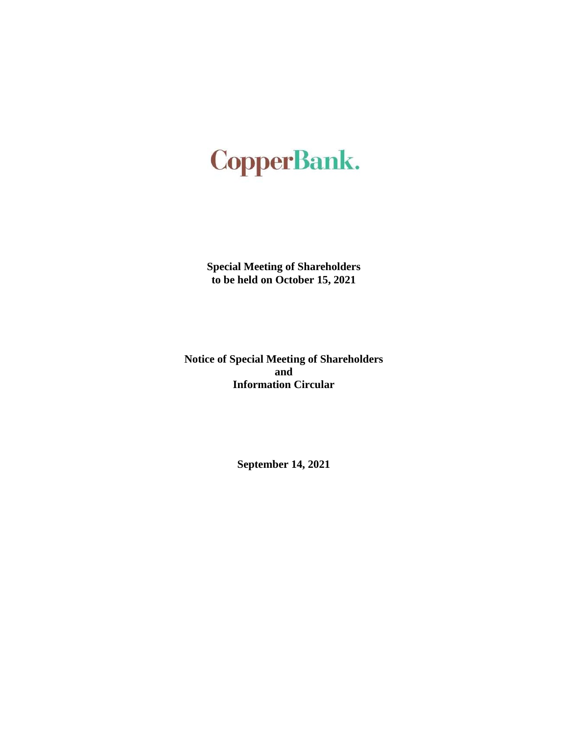# **CopperBank.**

**Special Meeting of Shareholders to be held on October 15, 2021** 

**Notice of Special Meeting of Shareholders and Information Circular** 

**September 14, 2021**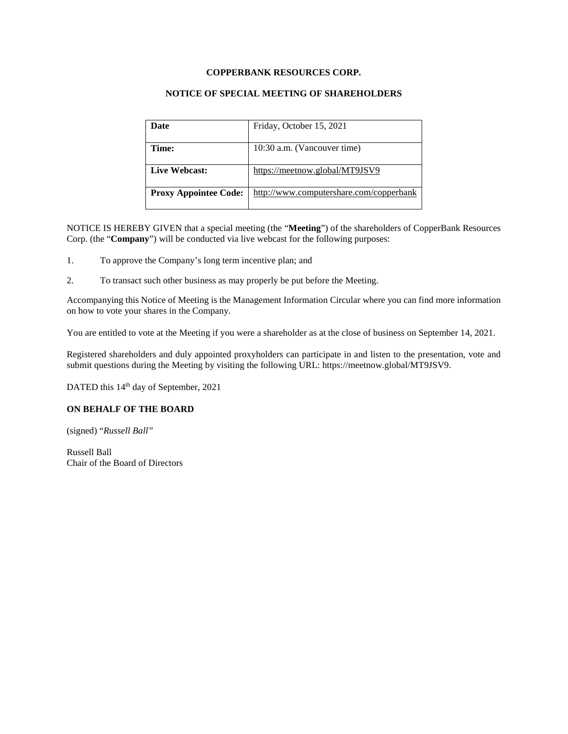# **COPPERBANK RESOURCES CORP.**

## **NOTICE OF SPECIAL MEETING OF SHAREHOLDERS**

| Date                         | Friday, October 15, 2021                |  |
|------------------------------|-----------------------------------------|--|
|                              |                                         |  |
| Time:                        | 10:30 a.m. (Vancouver time)             |  |
| Live Webcast:                | https://meetnow.global/MT9JSV9          |  |
|                              |                                         |  |
| <b>Proxy Appointee Code:</b> | http://www.computershare.com/copperbank |  |
|                              |                                         |  |

NOTICE IS HEREBY GIVEN that a special meeting (the "**Meeting**") of the shareholders of CopperBank Resources Corp. (the "**Company**") will be conducted via live webcast for the following purposes:

- 1. To approve the Company's long term incentive plan; and
- 2. To transact such other business as may properly be put before the Meeting.

Accompanying this Notice of Meeting is the Management Information Circular where you can find more information on how to vote your shares in the Company.

You are entitled to vote at the Meeting if you were a shareholder as at the close of business on September 14, 2021.

Registered shareholders and duly appointed proxyholders can participate in and listen to the presentation, vote and submit questions during the Meeting by visiting the following URL: https://meetnow.global/MT9JSV9.

DATED this 14<sup>th</sup> day of September, 2021

## **ON BEHALF OF THE BOARD**

(signed) "*Russell Ball"*

Russell Ball Chair of the Board of Directors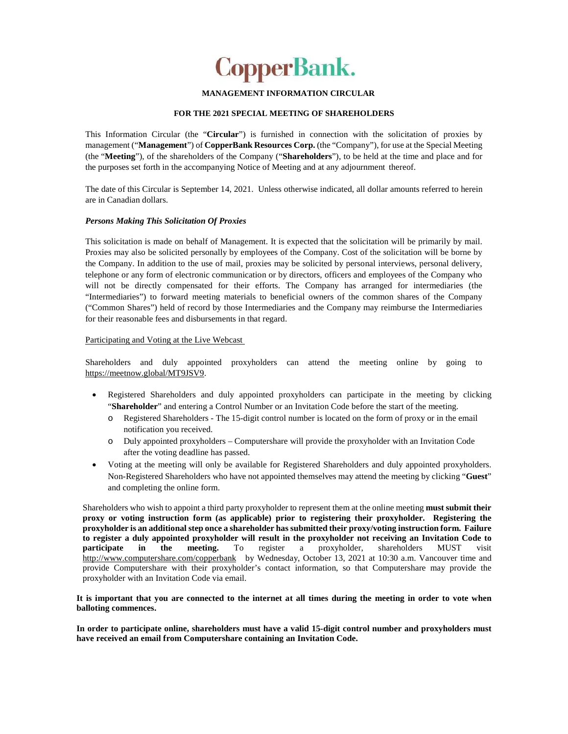

### **MANAGEMENT INFORMATION CIRCULAR**

#### **FOR THE 2021 SPECIAL MEETING OF SHAREHOLDERS**

This Information Circular (the "**Circular**") is furnished in connection with the solicitation of proxies by management ("**Management**") of **CopperBank Resources Corp.** (the "Company"), for use at the Special Meeting (the "**Meeting**"), of the shareholders of the Company ("**Shareholders**"), to be held at the time and place and for the purposes set forth in the accompanying Notice of Meeting and at any adjournment thereof.

The date of this Circular is September 14, 2021. Unless otherwise indicated, all dollar amounts referred to herein are in Canadian dollars.

#### *Persons Making This Solicitation Of Proxies*

This solicitation is made on behalf of Management. It is expected that the solicitation will be primarily by mail. Proxies may also be solicited personally by employees of the Company. Cost of the solicitation will be borne by the Company. In addition to the use of mail, proxies may be solicited by personal interviews, personal delivery, telephone or any form of electronic communication or by directors, officers and employees of the Company who will not be directly compensated for their efforts. The Company has arranged for intermediaries (the "Intermediaries") to forward meeting materials to beneficial owners of the common shares of the Company ("Common Shares") held of record by those Intermediaries and the Company may reimburse the Intermediaries for their reasonable fees and disbursements in that regard.

#### Participating and Voting at the Live Webcast

Shareholders and duly appointed proxyholders can attend the meeting online by going to https://meetnow.global/MT9JSV9.

- Registered Shareholders and duly appointed proxyholders can participate in the meeting by clicking "**Shareholder**" and entering a Control Number or an Invitation Code before the start of the meeting.
	- o Registered Shareholders The 15-digit control number is located on the form of proxy or in the email notification you received.
	- o Duly appointed proxyholders Computershare will provide the proxyholder with an Invitation Code after the voting deadline has passed.
- Voting at the meeting will only be available for Registered Shareholders and duly appointed proxyholders. Non-Registered Shareholders who have not appointed themselves may attend the meeting by clicking "**Guest**" and completing the online form.

Shareholders who wish to appoint a third party proxyholder to represent them at the online meeting **must submit their proxy or voting instruction form (as applicable) prior to registering their proxyholder. Registering the proxyholder is an additional step once a shareholder has submitted their proxy/voting instruction form. Failure to register a duly appointed proxyholder will result in the proxyholder not receiving an Invitation Code to participate in the meeting.** To register a proxyholder, shareholders MUST visit http://www.computershare.com/copperbank by Wednesday, October 13, 2021 at 10:30 a.m. Vancouver time and provide Computershare with their proxyholder's contact information, so that Computershare may provide the proxyholder with an Invitation Code via email.

### **It is important that you are connected to the internet at all times during the meeting in order to vote when balloting commences.**

**In order to participate online, shareholders must have a valid 15-digit control number and proxyholders must have received an email from Computershare containing an Invitation Code.**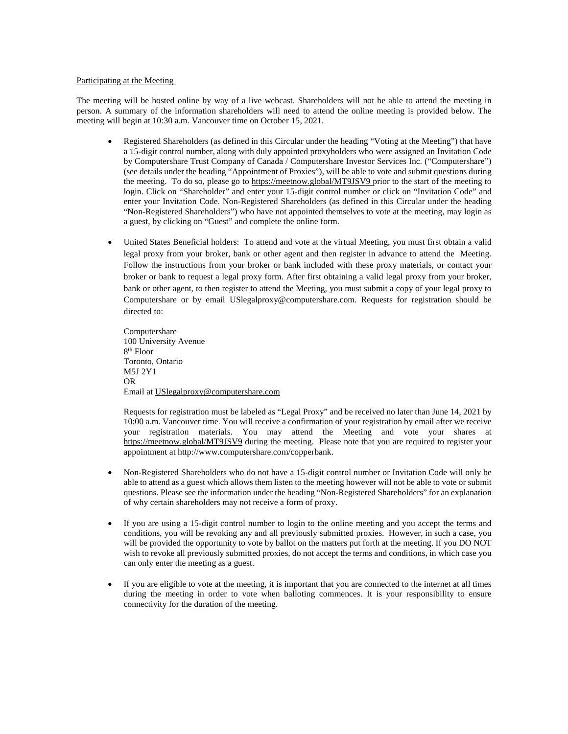#### Participating at the Meeting

The meeting will be hosted online by way of a live webcast. Shareholders will not be able to attend the meeting in person. A summary of the information shareholders will need to attend the online meeting is provided below. The meeting will begin at 10:30 a.m. Vancouver time on October 15, 2021.

- Registered Shareholders (as defined in this Circular under the heading "Voting at the Meeting") that have a 15-digit control number, along with duly appointed proxyholders who were assigned an Invitation Code by Computershare Trust Company of Canada / Computershare Investor Services Inc. ("Computershare") (see details under the heading "Appointment of Proxies"), will be able to vote and submit questions during the meeting. To do so, please go to https://meetnow.global/MT9JSV9 prior to the start of the meeting to login. Click on "Shareholder" and enter your 15-digit control number or click on "Invitation Code" and enter your Invitation Code. Non-Registered Shareholders (as defined in this Circular under the heading "Non-Registered Shareholders") who have not appointed themselves to vote at the meeting, may login as a guest, by clicking on "Guest" and complete the online form.
- United States Beneficial holders: To attend and vote at the virtual Meeting, you must first obtain a valid legal proxy from your broker, bank or other agent and then register in advance to attend the Meeting. Follow the instructions from your broker or bank included with these proxy materials, or contact your broker or bank to request a legal proxy form. After first obtaining a valid legal proxy from your broker, bank or other agent, to then register to attend the Meeting, you must submit a copy of your legal proxy to Computershare or by email USlegalproxy@computershare.com. Requests for registration should be directed to:

Computershare 100 University Avenue 8 th Floor Toronto, Ontario M5J 2Y1 OR Email at USlegalproxy@computershare.com

Requests for registration must be labeled as "Legal Proxy" and be received no later than June 14, 2021 by 10:00 a.m. Vancouver time. You will receive a confirmation of your registration by email after we receive your registration materials. You may attend the Meeting and vote your shares at https://meetnow.global/MT9JSV9 during the meeting. Please note that you are required to register your appointment at http://www.computershare.com/copperbank.

- Non-Registered Shareholders who do not have a 15-digit control number or Invitation Code will only be able to attend as a guest which allows them listen to the meeting however will not be able to vote or submit questions. Please see the information under the heading "Non-Registered Shareholders" for an explanation of why certain shareholders may not receive a form of proxy.
- If you are using a 15-digit control number to login to the online meeting and you accept the terms and conditions, you will be revoking any and all previously submitted proxies. However, in such a case, you will be provided the opportunity to vote by ballot on the matters put forth at the meeting. If you DO NOT wish to revoke all previously submitted proxies, do not accept the terms and conditions, in which case you can only enter the meeting as a guest.
- If you are eligible to vote at the meeting, it is important that you are connected to the internet at all times during the meeting in order to vote when balloting commences. It is your responsibility to ensure connectivity for the duration of the meeting.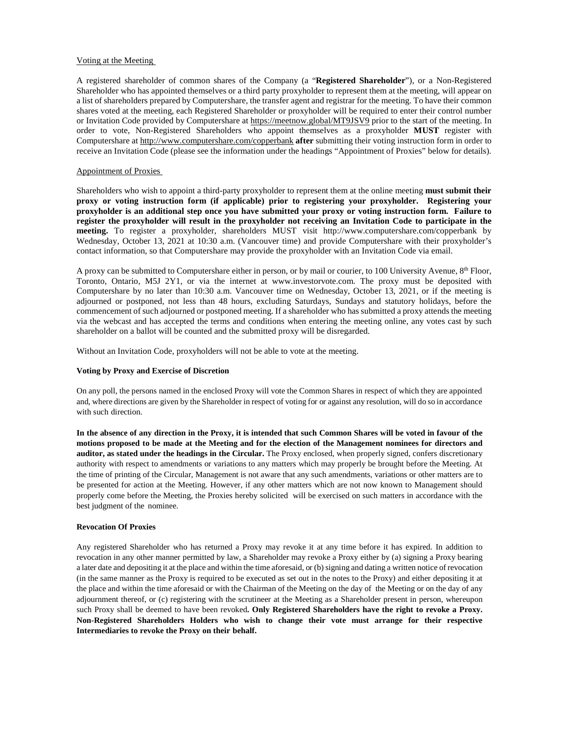#### Voting at the Meeting

A registered shareholder of common shares of the Company (a "**Registered Shareholder**"), or a Non-Registered Shareholder who has appointed themselves or a third party proxyholder to represent them at the meeting, will appear on a list of shareholders prepared by Computershare, the transfer agent and registrar for the meeting. To have their common shares voted at the meeting, each Registered Shareholder or proxyholder will be required to enter their control number or Invitation Code provided by Computershare at https://meetnow.global/MT9JSV9 prior to the start of the meeting. In order to vote, Non-Registered Shareholders who appoint themselves as a proxyholder **MUST** register with Computershare at http://www.computershare.com/copperbank **after** submitting their voting instruction form in order to receive an Invitation Code (please see the information under the headings "Appointment of Proxies" below for details).

#### Appointment of Proxies

Shareholders who wish to appoint a third-party proxyholder to represent them at the online meeting **must submit their proxy or voting instruction form (if applicable) prior to registering your proxyholder. Registering your proxyholder is an additional step once you have submitted your proxy or voting instruction form. Failure to register the proxyholder will result in the proxyholder not receiving an Invitation Code to participate in the meeting.** To register a proxyholder, shareholders MUST visit http://www.computershare.com/copperbank by Wednesday, October 13, 2021 at 10:30 a.m. (Vancouver time) and provide Computershare with their proxyholder's contact information, so that Computershare may provide the proxyholder with an Invitation Code via email.

A proxy can be submitted to Computershare either in person, or by mail or courier, to 100 University Avenue, 8th Floor, Toronto, Ontario, M5J 2Y1, or via the internet at www.investorvote.com. The proxy must be deposited with Computershare by no later than 10:30 a.m. Vancouver time on Wednesday, October 13, 2021, or if the meeting is adjourned or postponed, not less than 48 hours, excluding Saturdays, Sundays and statutory holidays, before the commencement of such adjourned or postponed meeting. If a shareholder who has submitted a proxy attends the meeting via the webcast and has accepted the terms and conditions when entering the meeting online, any votes cast by such shareholder on a ballot will be counted and the submitted proxy will be disregarded.

Without an Invitation Code, proxyholders will not be able to vote at the meeting.

#### **Voting by Proxy and Exercise of Discretion**

On any poll, the persons named in the enclosed Proxy will vote the Common Shares in respect of which they are appointed and, where directions are given by the Shareholder in respect of voting for or against any resolution, will do so in accordance with such direction.

**In the absence of any direction in the Proxy, it is intended that such Common Shares will be voted in favour of the motions proposed to be made at the Meeting and for the election of the Management nominees for directors and auditor, as stated under the headings in the Circular.** The Proxy enclosed, when properly signed, confers discretionary authority with respect to amendments or variations to any matters which may properly be brought before the Meeting. At the time of printing of the Circular, Management is not aware that any such amendments, variations or other matters are to be presented for action at the Meeting. However, if any other matters which are not now known to Management should properly come before the Meeting, the Proxies hereby solicited will be exercised on such matters in accordance with the best judgment of the nominee.

#### **Revocation Of Proxies**

Any registered Shareholder who has returned a Proxy may revoke it at any time before it has expired. In addition to revocation in any other manner permitted by law, a Shareholder may revoke a Proxy either by (a) signing a Proxy bearing a later date and depositing it at the place and within the time aforesaid, or (b) signing and dating a written notice of revocation (in the same manner as the Proxy is required to be executed as set out in the notes to the Proxy) and either depositing it at the place and within the time aforesaid or with the Chairman of the Meeting on the day of the Meeting or on the day of any adjournment thereof, or (c) registering with the scrutineer at the Meeting as a Shareholder present in person, whereupon such Proxy shall be deemed to have been revoked**. Only Registered Shareholders have the right to revoke a Proxy. Non-Registered Shareholders Holders who wish to change their vote must arrange for their respective Intermediaries to revoke the Proxy on their behalf.**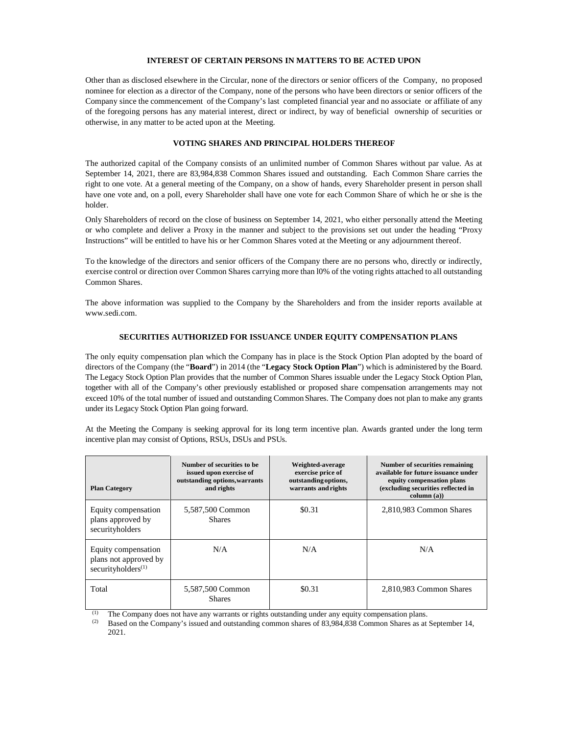#### **INTEREST OF CERTAIN PERSONS IN MATTERS TO BE ACTED UPON**

Other than as disclosed elsewhere in the Circular, none of the directors or senior officers of the Company, no proposed nominee for election as a director of the Company, none of the persons who have been directors or senior officers of the Company since the commencement of the Company's last completed financial year and no associate or affiliate of any of the foregoing persons has any material interest, direct or indirect, by way of beneficial ownership of securities or otherwise, in any matter to be acted upon at the Meeting.

## **VOTING SHARES AND PRINCIPAL HOLDERS THEREOF**

The authorized capital of the Company consists of an unlimited number of Common Shares without par value. As at September 14, 2021, there are 83,984,838 Common Shares issued and outstanding. Each Common Share carries the right to one vote. At a general meeting of the Company, on a show of hands, every Shareholder present in person shall have one vote and, on a poll, every Shareholder shall have one vote for each Common Share of which he or she is the holder.

Only Shareholders of record on the close of business on September 14, 2021, who either personally attend the Meeting or who complete and deliver a Proxy in the manner and subject to the provisions set out under the heading "Proxy Instructions" will be entitled to have his or her Common Shares voted at the Meeting or any adjournment thereof.

To the knowledge of the directors and senior officers of the Company there are no persons who, directly or indirectly, exercise control or direction over Common Shares carrying more than l0% of the voting rights attached to all outstanding Common Shares.

The above information was supplied to the Company by the Shareholders and from the insider reports available at www.sedi.com.

#### **SECURITIES AUTHORIZED FOR ISSUANCE UNDER EQUITY COMPENSATION PLANS**

The only equity compensation plan which the Company has in place is the Stock Option Plan adopted by the board of directors of the Company (the "**Board**") in 2014 (the "**Legacy Stock Option Plan**") which is administered by the Board. The Legacy Stock Option Plan provides that the number of Common Shares issuable under the Legacy Stock Option Plan, together with all of the Company's other previously established or proposed share compensation arrangements may not exceed 10% of the total number of issued and outstanding Common Shares. The Company does not plan to make any grants under its Legacy Stock Option Plan going forward.

At the Meeting the Company is seeking approval for its long term incentive plan. Awards granted under the long term incentive plan may consist of Options, RSUs, DSUs and PSUs.

| <b>Plan Category</b>                                                           | Number of securities to be<br>issued upon exercise of<br>outstanding options, warrants<br>and rights | Weighted-average<br>exercise price of<br>outstanding options,<br>warrants and rights | Number of securities remaining<br>available for future issuance under<br>equity compensation plans<br>(excluding securities reflected in<br>column(a)) |
|--------------------------------------------------------------------------------|------------------------------------------------------------------------------------------------------|--------------------------------------------------------------------------------------|--------------------------------------------------------------------------------------------------------------------------------------------------------|
| Equity compensation<br>plans approved by<br>securityholders                    | 5,587,500 Common<br><b>Shares</b>                                                                    | \$0.31                                                                               | 2,810,983 Common Shares                                                                                                                                |
| Equity compensation<br>plans not approved by<br>securityholders <sup>(1)</sup> | N/A                                                                                                  | N/A                                                                                  | N/A                                                                                                                                                    |
| Total                                                                          | 5,587,500 Common<br><b>Shares</b>                                                                    | \$0.31                                                                               | 2,810,983 Common Shares                                                                                                                                |

 $(1)$  The Company does not have any warrants or rights outstanding under any equity compensation plans.

Based on the Company's issued and outstanding common shares of 83,984,838 Common Shares as at September 14, 2021.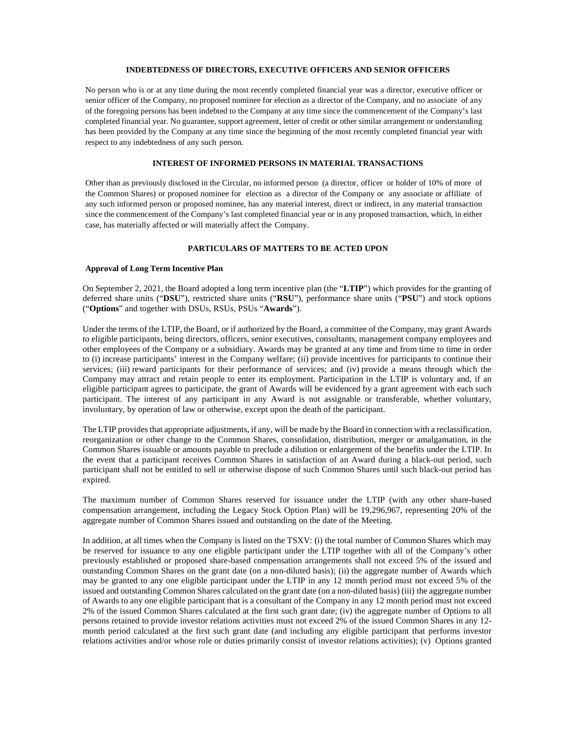#### **INDEBTEDNESS OF DIRECTORS, EXECUTIVE OFFICERS AND SENIOR OFFICERS**

No person who is or at any time during the most recently completed financial year was a director, executive officer or senior officer of the Company, no proposed nominee for election as a director of the Company, and no associate of any of the foregoing persons has been indebted to the Company at any time since the commencement of the Company's last completed financial year. No guarantee, support agreement, letter of credit or other similar arrangement or understanding has been provided by the Company at any time since the beginning of the most recently completed financial year with respect to any indebtedness of any such person.

## **INTEREST OF INFORMED PERSONS IN MATERIAL TRANSACTIONS**

Other than as previously disclosed in the Circular, no informed person (a director, officer or holder of 10% of more of the Common Shares) or proposed nominee for election as a director of the Company or any associate or affiliate of any such informed person or proposed nominee, has any material interest, direct or indirect, in any material transaction since the commencement of the Company's last completed financial year or in any proposed transaction, which, in either case, has materially affected or will materially affect the Company.

#### **PARTICULARS OF MATTERS TO BE ACTED UPON**

#### **Approval of Long Term Incentive Plan**

On September 2, 2021, the Board adopted a long term incentive plan (the "**LTIP**") which provides for the granting of deferred share units ("**DSU**"), restricted share units ("**RSU**"), performance share units ("**PSU**") and stock options ("**Options**" and together with DSUs, RSUs, PSUs "**Awards**").

Under the terms of the LTIP, the Board, or if authorized by the Board, a committee of the Company, may grant Awards to eligible participants, being directors, officers, senior executives, consultants, management company employees and other employees of the Company or a subsidiary. Awards may be granted at any time and from time to time in order to (i) increase participants' interest in the Company welfare; (ii) provide incentives for participants to continue their services; (iii) reward participants for their performance of services; and (iv) provide a means through which the Company may attract and retain people to enter its employment. Participation in the LTIP is voluntary and, if an eligible participant agrees to participate, the grant of Awards will be evidenced by a grant agreement with each such participant. The interest of any participant in any Award is not assignable or transferable, whether voluntary, involuntary, by operation of law or otherwise, except upon the death of the participant.

The LTIP provides that appropriate adjustments, if any, will be made by the Board in connection with a reclassification, reorganization or other change to the Common Shares, consolidation, distribution, merger or amalgamation, in the Common Shares issuable or amounts payable to preclude a dilution or enlargement of the benefits under the LTIP. In the event that a participant receives Common Shares in satisfaction of an Award during a black-out period, such participant shall not be entitled to sell or otherwise dispose of such Common Shares until such black-out period has expired.

The maximum number of Common Shares reserved for issuance under the LTIP (with any other share-based compensation arrangement, including the Legacy Stock Option Plan) will be 19,296,967, representing 20% of the aggregate number of Common Shares issued and outstanding on the date of the Meeting.

In addition, at all times when the Company is listed on the TSXV: (i) the total number of Common Shares which may be reserved for issuance to any one eligible participant under the LTIP together with all of the Company's other previously established or proposed share-based compensation arrangements shall not exceed 5% of the issued and outstanding Common Shares on the grant date (on a non-diluted basis); (ii) the aggregate number of Awards which may be granted to any one eligible participant under the LTIP in any 12 month period must not exceed 5% of the issued and outstanding Common Shares calculated on the grant date (on a non-diluted basis) (iii) the aggregate number of Awards to any one eligible participant that is a consultant of the Company in any 12 month period must not exceed 2% of the issued Common Shares calculated at the first such grant date; (iv) the aggregate number of Options to all persons retained to provide investor relations activities must not exceed 2% of the issued Common Shares in any 12 month period calculated at the first such grant date (and including any eligible participant that performs investor relations activities and/or whose role or duties primarily consist of investor relations activities); (v) Options granted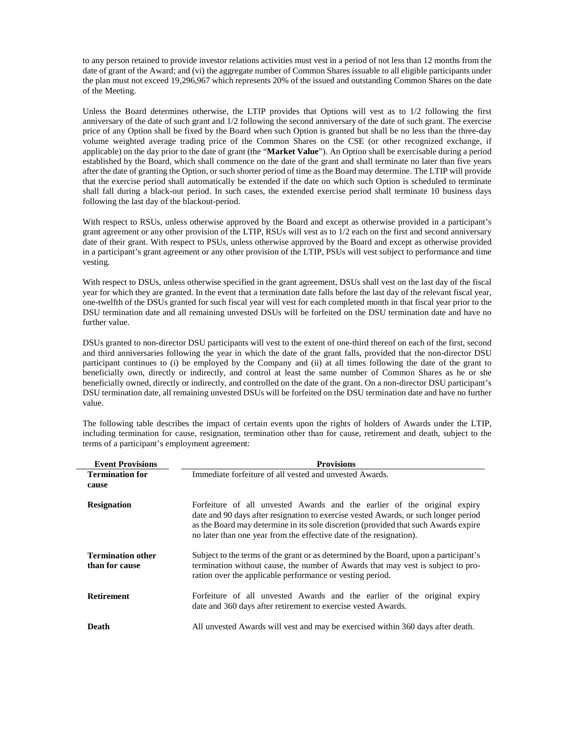to any person retained to provide investor relations activities must vest in a period of not less than 12 months from the date of grant of the Award; and (vi) the aggregate number of Common Shares issuable to all eligible participants under the plan must not exceed 19,296,967 which represents 20% of the issued and outstanding Common Shares on the date of the Meeting.

Unless the Board determines otherwise, the LTIP provides that Options will vest as to 1/2 following the first anniversary of the date of such grant and 1/2 following the second anniversary of the date of such grant. The exercise price of any Option shall be fixed by the Board when such Option is granted but shall be no less than the three-day volume weighted average trading price of the Common Shares on the CSE (or other recognized exchange, if applicable) on the day prior to the date of grant (the "**Market Value**"). An Option shall be exercisable during a period established by the Board, which shall commence on the date of the grant and shall terminate no later than five years after the date of granting the Option, or such shorter period of time as the Board may determine. The LTIP will provide that the exercise period shall automatically be extended if the date on which such Option is scheduled to terminate shall fall during a black-out period. In such cases, the extended exercise period shall terminate 10 business days following the last day of the blackout-period.

With respect to RSUs, unless otherwise approved by the Board and except as otherwise provided in a participant's grant agreement or any other provision of the LTIP, RSUs will vest as to 1/2 each on the first and second anniversary date of their grant. With respect to PSUs, unless otherwise approved by the Board and except as otherwise provided in a participant's grant agreement or any other provision of the LTIP, PSUs will vest subject to performance and time vesting.

With respect to DSUs, unless otherwise specified in the grant agreement, DSUs shall vest on the last day of the fiscal year for which they are granted. In the event that a termination date falls before the last day of the relevant fiscal year, one-twelfth of the DSUs granted for such fiscal year will vest for each completed month in that fiscal year prior to the DSU termination date and all remaining unvested DSUs will be forfeited on the DSU termination date and have no further value.

DSUs granted to non-director DSU participants will vest to the extent of one-third thereof on each of the first, second and third anniversaries following the year in which the date of the grant falls, provided that the non-director DSU participant continues to (i) be employed by the Company and (ii) at all times following the date of the grant to beneficially own, directly or indirectly, and control at least the same number of Common Shares as he or she beneficially owned, directly or indirectly, and controlled on the date of the grant. On a non-director DSU participant's DSU termination date, all remaining unvested DSUs will be forfeited on the DSU termination date and have no further value.

The following table describes the impact of certain events upon the rights of holders of Awards under the LTIP, including termination for cause, resignation, termination other than for cause, retirement and death, subject to the terms of a participant's employment agreement:

| <b>Event Provisions</b>                    | <b>Provisions</b>                                                                                                                                                                                                                                                                                                             |  |  |
|--------------------------------------------|-------------------------------------------------------------------------------------------------------------------------------------------------------------------------------------------------------------------------------------------------------------------------------------------------------------------------------|--|--|
| <b>Termination for</b>                     | Immediate forfeiture of all vested and unvested Awards.                                                                                                                                                                                                                                                                       |  |  |
| cause                                      |                                                                                                                                                                                                                                                                                                                               |  |  |
| <b>Resignation</b>                         | Forfeiture of all unvested Awards and the earlier of the original expiry<br>date and 90 days after resignation to exercise vested Awards, or such longer period<br>as the Board may determine in its sole discretion (provided that such Awards expire<br>no later than one year from the effective date of the resignation). |  |  |
| <b>Termination other</b><br>than for cause | Subject to the terms of the grant or as determined by the Board, upon a participant's<br>termination without cause, the number of Awards that may vest is subject to pro-<br>ration over the applicable performance or vesting period.                                                                                        |  |  |
| <b>Retirement</b>                          | Forfeiture of all unvested Awards and the earlier of the original expiry<br>date and 360 days after retirement to exercise vested Awards.                                                                                                                                                                                     |  |  |
| Death                                      | All unvested Awards will vest and may be exercised within 360 days after death.                                                                                                                                                                                                                                               |  |  |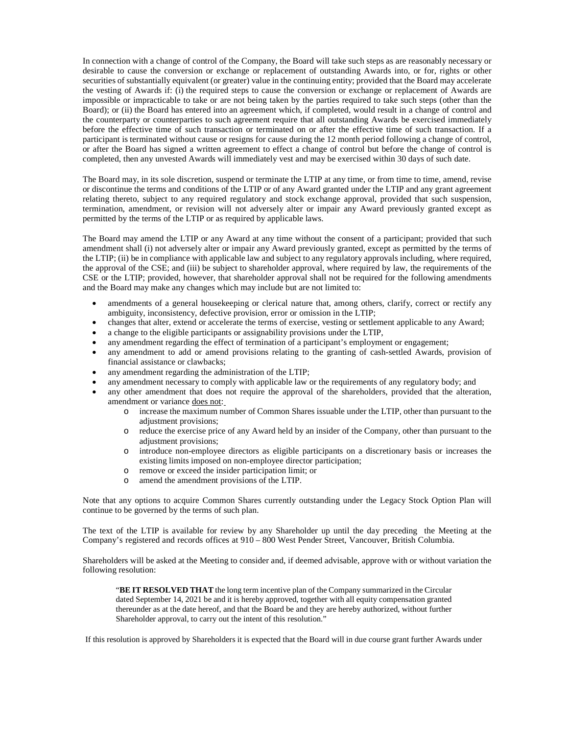In connection with a change of control of the Company, the Board will take such steps as are reasonably necessary or desirable to cause the conversion or exchange or replacement of outstanding Awards into, or for, rights or other securities of substantially equivalent (or greater) value in the continuing entity; provided that the Board may accelerate the vesting of Awards if: (i) the required steps to cause the conversion or exchange or replacement of Awards are impossible or impracticable to take or are not being taken by the parties required to take such steps (other than the Board); or (ii) the Board has entered into an agreement which, if completed, would result in a change of control and the counterparty or counterparties to such agreement require that all outstanding Awards be exercised immediately before the effective time of such transaction or terminated on or after the effective time of such transaction. If a participant is terminated without cause or resigns for cause during the 12 month period following a change of control, or after the Board has signed a written agreement to effect a change of control but before the change of control is completed, then any unvested Awards will immediately vest and may be exercised within 30 days of such date.

The Board may, in its sole discretion, suspend or terminate the LTIP at any time, or from time to time, amend, revise or discontinue the terms and conditions of the LTIP or of any Award granted under the LTIP and any grant agreement relating thereto, subject to any required regulatory and stock exchange approval, provided that such suspension, termination, amendment, or revision will not adversely alter or impair any Award previously granted except as permitted by the terms of the LTIP or as required by applicable laws.

The Board may amend the LTIP or any Award at any time without the consent of a participant; provided that such amendment shall (i) not adversely alter or impair any Award previously granted, except as permitted by the terms of the LTIP; (ii) be in compliance with applicable law and subject to any regulatory approvals including, where required, the approval of the CSE; and (iii) be subject to shareholder approval, where required by law, the requirements of the CSE or the LTIP; provided, however, that shareholder approval shall not be required for the following amendments and the Board may make any changes which may include but are not limited to:

- amendments of a general housekeeping or clerical nature that, among others, clarify, correct or rectify any ambiguity, inconsistency, defective provision, error or omission in the LTIP;
- changes that alter, extend or accelerate the terms of exercise, vesting or settlement applicable to any Award;
- a change to the eligible participants or assignability provisions under the LTIP,
- any amendment regarding the effect of termination of a participant's employment or engagement;
- any amendment to add or amend provisions relating to the granting of cash-settled Awards, provision of financial assistance or clawbacks;
- any amendment regarding the administration of the LTIP;
- any amendment necessary to comply with applicable law or the requirements of any regulatory body; and
- any other amendment that does not require the approval of the shareholders, provided that the alteration, amendment or variance does not:
	- o increase the maximum number of Common Shares issuable under the LTIP, other than pursuant to the adjustment provisions:
	- o reduce the exercise price of any Award held by an insider of the Company, other than pursuant to the adjustment provisions;
	- o introduce non-employee directors as eligible participants on a discretionary basis or increases the existing limits imposed on non-employee director participation;
	- o remove or exceed the insider participation limit; or
	- o amend the amendment provisions of the LTIP.

Note that any options to acquire Common Shares currently outstanding under the Legacy Stock Option Plan will continue to be governed by the terms of such plan.

The text of the LTIP is available for review by any Shareholder up until the day preceding the Meeting at the Company's registered and records offices at 910 – 800 West Pender Street, Vancouver, British Columbia.

Shareholders will be asked at the Meeting to consider and, if deemed advisable, approve with or without variation the following resolution:

"**BE IT RESOLVED THAT** the long term incentive plan of the Company summarized in the Circular dated September 14, 2021 be and it is hereby approved, together with all equity compensation granted thereunder as at the date hereof, and that the Board be and they are hereby authorized, without further Shareholder approval, to carry out the intent of this resolution."

If this resolution is approved by Shareholders it is expected that the Board will in due course grant further Awards under